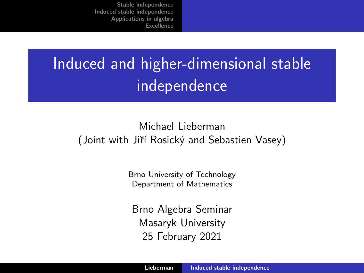# <span id="page-0-0"></span>Induced and higher-dimensional stable independence

#### Michael Lieberman (Joint with Jiří Rosický and Sebastien Vasey)

Brno University of Technology Department of Mathematics

Brno Algebra Seminar Masaryk University 25 February 2021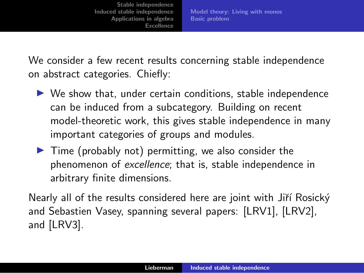Model [theory:](#page-2-0) Living with monos Basic [problem](#page-3-0)

We consider a few recent results concerning stable independence on abstract categories. Chiefly:

- $\triangleright$  We show that, under certain conditions, stable independence can be induced from a subcategory. Building on recent model-theoretic work, this gives stable independence in many important categories of groups and modules.
- $\triangleright$  Time (probably not) permitting, we also consider the phenomenon of *excellence*; that is, stable independence in arbitrary finite dimensions.

Nearly all of the results considered here are joint with Jiří Rosický and Sebastien Vasey, spanning several papers: [LRV1], [LRV2], and [LRV3].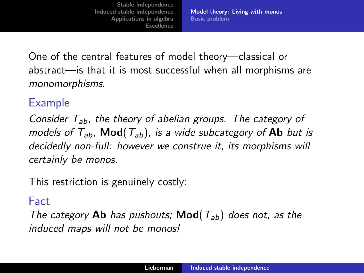Model [theory:](#page-2-0) Living with monos Basic [problem](#page-3-0)

<span id="page-2-0"></span>One of the central features of model theory—classical or abstract—is that it is most successful when all morphisms are *monomorphisms*.

## Example

*Consider Tab, the theory of abelian groups. The category of models* of  $T_{ab}$ , **Mod**( $T_{ab}$ ), is a wide subcategory of **Ab** but is *decidedly non-full: however we construe it, its morphisms will certainly be monos.*

This restriction is genuinely costly:

#### Fact

*The category* Ab *has pushouts;* Mod(*Tab*) *does not, as the induced maps will not be monos!*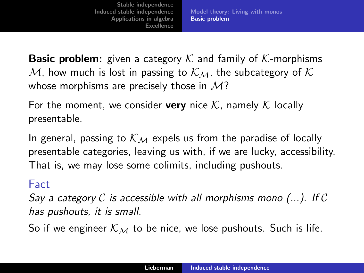Model [theory:](#page-2-0) Living with monos Basic [problem](#page-3-0)

<span id="page-3-0"></span>Basic problem: given a category *K* and family of *K*-morphisms *M*, how much is lost in passing to  $K_M$ , the subcategory of  $K$ whose morphisms are precisely those in *M*?

For the moment, we consider **very** nice  $K$ , namely  $K$  locally presentable.

In general, passing to  $K_M$  expels us from the paradise of locally presentable categories, leaving us with, if we are lucky, accessibility. That is, we may lose some colimits, including pushouts.

#### Fact

*Say a category C is accessible with all morphisms mono (...). If C has pushouts, it is small.*

So if we engineer  $K_M$  to be nice, we lose pushouts. Such is life.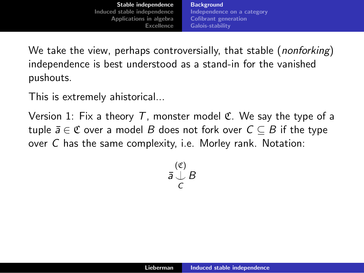**[Background](#page-4-0)** [Independence](#page-7-0) on a category Cofibrant [generation](#page-12-0) [Galois-stability](#page-13-0)

<span id="page-4-0"></span>We take the view, perhaps controversially, that stable (*nonforking*) independence is best understood as a stand-in for the vanished pushouts.

This is extremely ahistorical...

Version 1: Fix a theory  $T$ , monster model  $\mathfrak C$ . We say the type of a tuple  $\bar{a} \in \mathfrak{C}$  over a model *B* does not fork over  $C \subseteq B$  if the type over *C* has the same complexity, i.e. Morley rank. Notation:

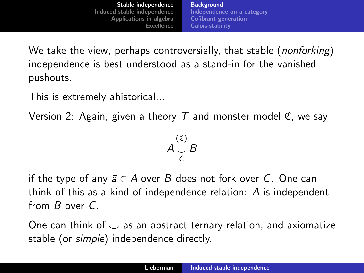We take the view, perhaps controversially, that stable (*nonforking*) independence is best understood as a stand-in for the vanished pushouts.

This is extremely ahistorical...

Version 2: Again, given a theory *T* and monster model C, we say

*A* (C) ⌣*C B*

if the type of any  $\bar{a} \in A$  over *B* does not fork over *C*. One can think of this as a kind of independence relation: *A* is independent from *B* over *C*.

One can think of  $\perp$  as an abstract ternary relation, and axiomatize stable (or *simple*) independence directly.

$$
A\bigcup_C^{(\mathfrak{C})}B
$$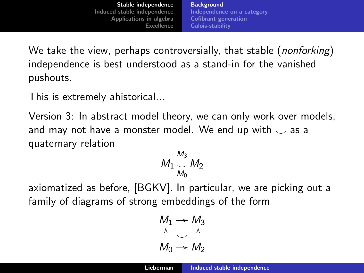**[Background](#page-4-0)** [Independence](#page-7-0) on a category Cofibrant [generation](#page-12-0) [Galois-stability](#page-13-0)

We take the view, perhaps controversially, that stable (*nonforking*) independence is best understood as a stand-in for the vanished pushouts.

This is extremely ahistorical...

Version 3: In abstract model theory, we can only work over models, and may not have a monster model. We end up with  $\downarrow$  as a quaternary relation

$$
M_1 \bigcup_{M_0}^{M_3} M_2
$$

axiomatized as before, [BGKV]. In particular, we are picking out a family of diagrams of strong embeddings of the form

$$
M_1 \rightarrow M_3
$$
  
\n
$$
\uparrow \quad \downarrow \quad \uparrow
$$
  
\n
$$
M_0 \rightarrow M_2
$$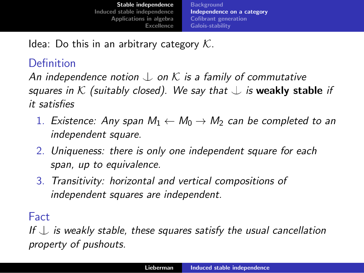<span id="page-7-0"></span>Idea: Do this in an arbitrary category *K*.

# Definition

*An* independence notion  $\perp$  on  $\mathcal K$  is a family of commutative *squares in*  $K$  *(suitably closed).* We say that  $\perp$  *is* weakly stable *if it satisfies*

- 1. *Existence:* Any *span*  $M_1 \leftarrow M_0 \rightarrow M_2$  *can be completed to an independent square.*
- 2. *Uniqueness: there is only one independent square for each span, up to equivalence.*
- 3. *Transitivity: horizontal and vertical compositions of independent squares are independent.*

Fact

*If* ⌣ *is weakly stable, these squares satisfy the usual cancellation property of pushouts.*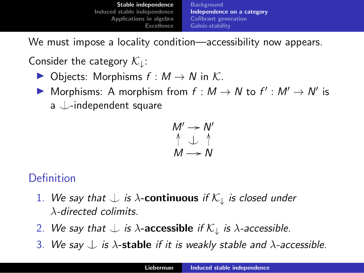We must impose a locality condition—accessibility now appears.

Consider the category *K*↓:

- $\triangleright$  Objects: Morphisms  $f : M \to N$  in K.
- ▶ Morphisms: A morphism from  $f : M \rightarrow N$  to  $f' : M' \rightarrow N'$  is a  $\downarrow$ -independent square

$$
\begin{array}{c}\nM' \rightarrow N' \\
\uparrow \quad \downarrow \quad \uparrow \\
M \rightarrow N\n\end{array}
$$

# Definition

- 1. We say that  $\perp$  *is*  $\lambda$ -**continuous** *if*  $K_{\perp}$  *is closed under* λ*-directed colimits.*
- 2. We say that  $\perp$  *is*  $\lambda$ -accessible *if*  $\mathcal{K}_\perp$  *is*  $\lambda$ -accessible.
- 3. We say  $\downarrow$  *is*  $\lambda$ -stable *if it is weakly stable* and  $\lambda$ -accessible.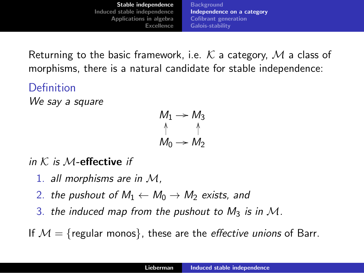Returning to the basic framework, i.e. *K* a category, *M* a class of morphisms, there is a natural candidate for stable independence:

Definition *We say a square*

$$
\begin{array}{ccc}\nM_1 & \to & M_3 \\
\uparrow & & \uparrow \\
M_0 & \to & M_2\n\end{array}
$$

*in K is M*-effective *if*

- 1. *all morphisms are in M,*
- 2. *the pushout of*  $M_1 \leftarrow M_0 \rightarrow M_2$  *exists, and*
- 3. *the induced map from the pushout to*  $M_3$  *is in*  $M$ *.*

If  $M = \{$  regular monos $\}$ , these are the *effective unions* of Barr.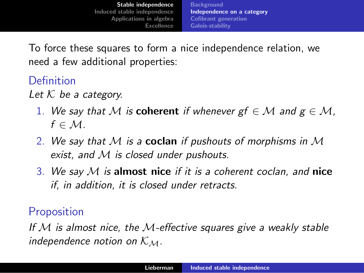**[Background](#page-4-0)** [Independence](#page-7-0) on a category Cofibrant [generation](#page-12-0) [Galois-stability](#page-13-0)

To force these squares to form a nice independence relation, we need a few additional properties:

# Definition

*Let K be a category.*

- 1. We say that M is **coherent** if whenever  $gf \in M$  and  $g \in M$ ,  $f \in \mathcal{M}$ .
- 2. *We say that M is a* coclan *if pushouts of morphisms in M exist, and M is closed under pushouts.*
- 3. *We say M is* almost nice *if it is a coherent coclan, and* nice *if, in addition, it is closed under retracts.*

# **Proposition**

*If M is almost nice, the M-e*ff*ective squares give a weakly stable independence notion on*  $K_M$ .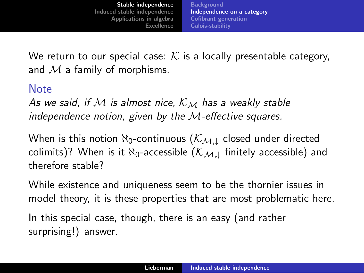We return to our special case:  $K$  is a locally presentable category, and *M* a family of morphisms.

#### Note

*As we said, if M is almost nice, K<sup>M</sup> has a weakly stable independence notion, given by the M-e*ff*ective squares.*

When is this notion  $\aleph_0$ -continuous ( $\mathcal{K}_{\mathcal{M},\perp}$  closed under directed colimits)? When is it  $\aleph_0$ -accessible  $(\mathcal{K}_{ML}$  finitely accessible) and therefore stable?

While existence and uniqueness seem to be the thornier issues in model theory, it is these properties that are most problematic here.

In this special case, though, there is an easy (and rather surprising!) answer.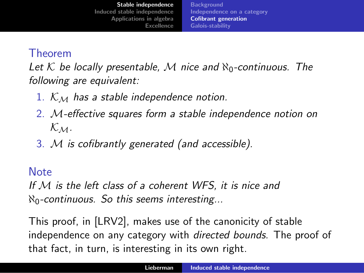**[Background](#page-4-0)** [Independence](#page-7-0) on a category Cofibrant [generation](#page-12-0) [Galois-stability](#page-13-0)

### <span id="page-12-0"></span>Theorem

*Let*  $K$  *be locally presentable,*  $M$  *nice and*  $\aleph_0$ -continuous. The *following are equivalent:*

- 1. *K<sup>M</sup> has a stable independence notion.*
- 2. *M-e*ff*ective squares form a stable independence notion on KM.*
- 3. *M is cofibrantly generated (and accessible).*

#### Note

*If M is the left class of a coherent WFS, it is nice and* ℵ0*-continuous. So this seems interesting...*

This proof, in [LRV2], makes use of the canonicity of stable independence on any category with *directed bounds*. The proof of that fact, in turn, is interesting in its own right.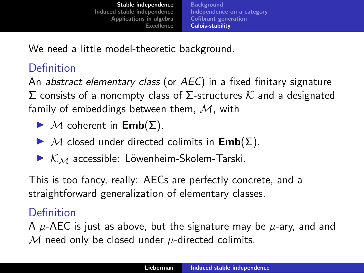[Independence](#page-7-0) on a category Cofibrant [generation](#page-12-0) [Galois-stability](#page-13-0)

<span id="page-13-0"></span>We need a little model-theoretic background.

# Definition

An *abstract elementary class* (or *AEC*) in a fixed finitary signature Σ consists of a nonempty class of Σ-structures *K* and a designated family of embeddings between them, *M*, with

- $\blacktriangleright$  *M* coherent in **Emb**( $\Sigma$ ).
- $\blacktriangleright$  *M* closed under directed colimits in  $\mathsf{Emb}(\Sigma)$ .
- $\triangleright$   $K_M$  accessible: Löwenheim-Skolem-Tarski.

This is too fancy, really: AECs are perfectly concrete, and a straightforward generalization of elementary classes.

# Definition

A *µ*-AEC is just as above, but the signature may be *µ*-ary, and and *M* need only be closed under *µ*-directed colimits.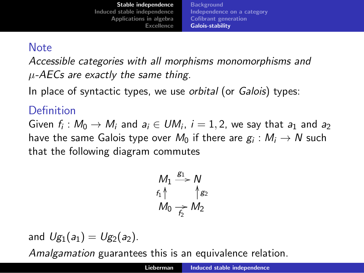#### Note

*Accessible categories with all morphisms monomorphisms and µ-AECs are exactly the same thing.*

In place of syntactic types, we use *orbital* (or *Galois*) types:

## Definition

Given  $f_i: M_0 \to M_i$  and  $a_i \in UM_i$ ,  $i = 1, 2$ , we say that  $a_1$  and  $a_2$ have the same Galois type over  $M_0$  if there are  $g_i : M_i \to N$  such that the following diagram commutes

$$
M_1 \xrightarrow{g_1} N
$$
  
 $f_1 \uparrow \qquad \qquad \uparrow g_2$   
 $M_0 \xrightarrow{g_2} M_2$ 

and  $U_{g_1}(a_1) = U_{g_2}(a_2)$ .

*Amalgamation* guarantees this is an equivalence relation.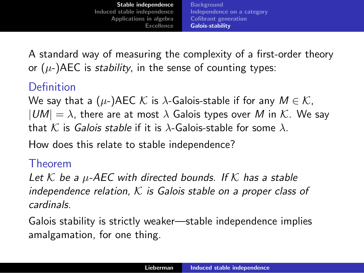A standard way of measuring the complexity of a first-order theory or (*µ*-)AEC is *stability*, in the sense of counting types:

# Definition

We say that a ( $\mu$ -)AEC  $\mathcal K$  is  $\lambda$ -Galois-stable if for any  $M \in \mathcal K$ ,  $|UM| = \lambda$ , there are at most  $\lambda$  Galois types over M in K. We say that *K* is *Galois stable* if it is λ-Galois-stable for some λ.

How does this relate to stable independence?

#### Theorem

*Let K be a µ-AEC with directed bounds. If K has a stable independence relation, K is Galois stable on a proper class of cardinals.*

Galois stability is strictly weaker—stable independence implies amalgamation, for one thing.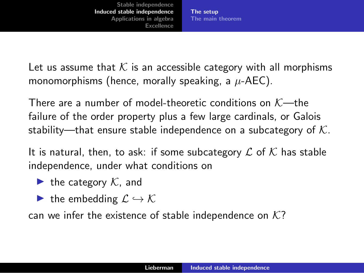The [setup](#page-16-0) The main [theorem](#page-20-0)

<span id="page-16-0"></span>Let us assume that  $K$  is an accessible category with all morphisms monomorphisms (hence, morally speaking, a *µ*-AEC).

There are a number of model-theoretic conditions on *K*—the failure of the order property plus a few large cardinals, or Galois stability—that ensure stable independence on a subcategory of *K*.

It is natural, then, to ask: if some subcategory *L* of *K* has stable independence, under what conditions on

- $\blacktriangleright$  the category  $K$ , and
- $\blacktriangleright$  the embedding  $\mathcal{L} \hookrightarrow \mathcal{K}$

can we infer the existence of stable independence on *K*?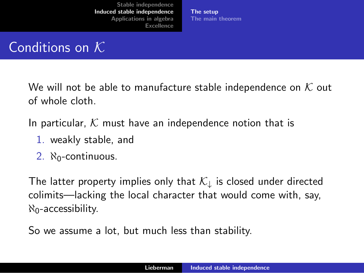The [setup](#page-16-0) The main [theorem](#page-20-0)

# Conditions on *K*

We will not be able to manufacture stable independence on *K* out of whole cloth.

In particular, *K* must have an independence notion that is

- 1. weakly stable, and
- 2.  $N_0$ -continuous.

The latter property implies only that *K*<sup>↓</sup> is closed under directed colimits—lacking the local character that would come with, say,  $\aleph_0$ -accessibility.

So we assume a lot, but much less than stability.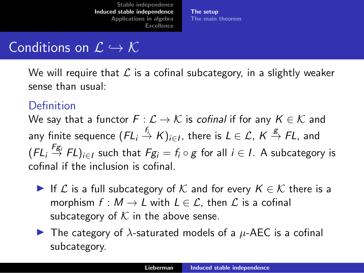The [setup](#page-16-0) The main [theorem](#page-20-0)

# Conditions on  $\mathcal{L} \hookrightarrow \mathcal{K}$

We will require that *L* is a cofinal subcategory, in a slightly weaker sense than usual:

#### Definition

We say that a functor  $F: \mathcal{L} \to \mathcal{K}$  is *cofinal* if for any  $K \in \mathcal{K}$  and any finite sequence  $(FL_i \stackrel{f_i}{\to} K)_{i \in I}$ , there is  $L \in \mathcal{L}$ ,  $K \stackrel{g}{\to} FL$ , and  $(FL_i \overset{F_{g_i}}{\rightarrow} FL)_{i \in I}$  such that  $Fg_i = f_i \circ g$  for all  $i \in I$ . A subcategory is cofinal if the inclusion is cofinal.

- ► If  $\mathcal L$  is a full subcategory of  $\mathcal K$  and for every  $K \in \mathcal K$  there is a morphism  $f : M \to L$  with  $L \in \mathcal{L}$ , then  $\mathcal L$  is a cofinal subcategory of  $K$  in the above sense.
- $\blacktriangleright$  The category of  $\lambda$ -saturated models of a  $\mu$ -AEC is a cofinal subcategory.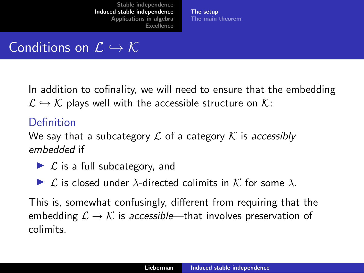The [setup](#page-16-0) The main [theorem](#page-20-0)

# Conditions on  $\mathcal{L} \hookrightarrow \mathcal{K}$

In addition to cofinality, we will need to ensure that the embedding  $\mathcal{L} \hookrightarrow \mathcal{K}$  plays well with the accessible structure on  $\mathcal{K}$ :

### Definition

We say that a subcategory *L* of a category *K* is *accessibly embedded* if

- ► *L* is a full subcategory, and
- $\blacktriangleright$  *L* is closed under  $\lambda$ -directed colimits in *K* for some  $\lambda$ .

This is, somewhat confusingly, different from requiring that the embedding  $\mathcal{L} \to \mathcal{K}$  is *accessible*—that involves preservation of colimits.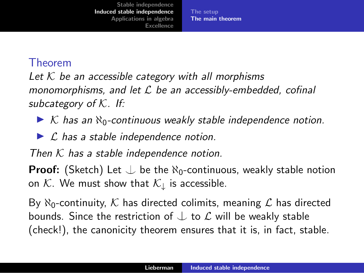The [setup](#page-16-0) The main [theorem](#page-20-0)

#### <span id="page-20-0"></span>Theorem

*Let K be an accessible category with all morphisms monomorphisms, and let L be an accessibly-embedded, cofinal subcategory of K. If:*

◮ *K has an* ℵ0*-continuous weakly stable independence notion.*

◮ *L has a stable independence notion.*

*Then K has a stable independence notion.*

**Proof:** (Sketch) Let  $\perp$  be the  $\aleph_0$ -continuous, weakly stable notion on  $K$ . We must show that  $K_{\downarrow}$  is accessible.

By  $\aleph_0$ -continuity, K has directed colimits, meaning L has directed bounds. Since the restriction of ⌣ to *L* will be weakly stable (check!), the canonicity theorem ensures that it is, in fact, stable.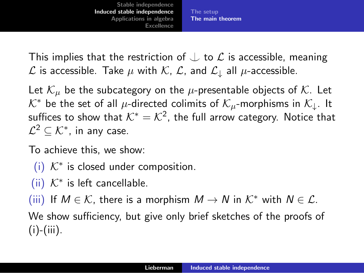The [setup](#page-16-0) The main [theorem](#page-20-0)

This implies that the restriction of  $\perp$  to  $\mathcal L$  is accessible, meaning  $\mathcal L$  is accessible. Take  $\mu$  with  $\mathcal K$ ,  $\mathcal L$ , and  $\mathcal L_{\perp}$  all  $\mu$ -accessible.

Let  $K_{\mu}$  be the subcategory on the  $\mu$ -presentable objects of K. Let  $K^*$  be the set of all  $\mu$ -directed colimits of  $K_{\mu}$ -morphisms in  $K_{\mu}$ . It suffices to show that  $K^* = K^2$ , the full arrow category. Notice that  $\mathcal{L}^2 \subset \mathcal{K}^*$ , in any case.

To achieve this, we show:

- (i)  $K^*$  is closed under composition.
- $(iii)$   $K^*$  is left cancellable.

(iii) If  $M \in \mathcal{K}$ , there is a morphism  $M \to N$  in  $\mathcal{K}^*$  with  $N \in \mathcal{L}$ .

We show sufficiency, but give only brief sketches of the proofs of  $(i)$ - $(iii)$ .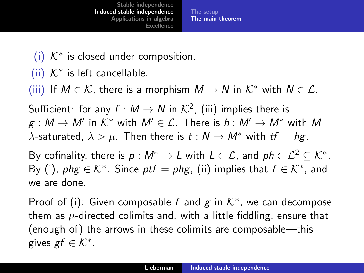The [setup](#page-16-0) The main [theorem](#page-20-0)

- (i)  $K^*$  is closed under composition.
- (ii) *K*<sup>∗</sup> is left cancellable.

(iii) If  $M \in \mathcal{K}$ , there is a morphism  $M \to N$  in  $\mathcal{K}^*$  with  $N \in \mathcal{L}$ .

Sufficient: for any  $f : M \to N$  in  $\mathcal{K}^2$ , (iii) implies there is  $g : M \to M'$  in  $K^*$  with  $M' \in \mathcal{L}$ . There is  $h : M' \to M^*$  with M  $λ$ -saturated,  $λ > μ$ . Then there is  $t : N → M^*$  with  $tf = hg$ .

By cofinality, there is  $p : M^* \to L$  with  $L \in \mathcal{L}$ , and  $ph \in \mathcal{L}^2 \subset \mathcal{K}^*$ . By (i),  $phg \in K^*$ . Since  $ptf = phg$ , (ii) implies that  $f \in K^*$ , and we are done.

Proof of (i): Given composable *f* and *g* in *K*∗, we can decompose them as *µ*-directed colimits and, with a little fiddling, ensure that (enough of) the arrows in these colimits are composable—this gives *gf*  $\in \mathcal{K}^*$ .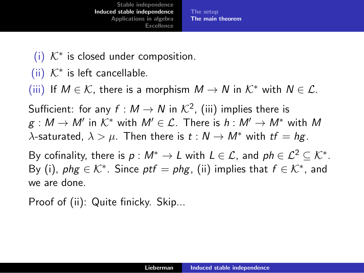The [setup](#page-16-0) The main [theorem](#page-20-0)

- (i) *K*<sup>∗</sup> is closed under composition.
- $(iii)$   $K^*$  is left cancellable.

(iii) If  $M \in \mathcal{K}$ , there is a morphism  $M \to N$  in  $\mathcal{K}^*$  with  $N \in \mathcal{L}$ .

Sufficient: for any  $f : M \to N$  in  $\mathcal{K}^2$ , (iii) implies there is  $g: M \to M'$  in  $K^*$  with  $M' \in \mathcal{L}$ . There is  $h: M' \to M^*$  with M  $λ$ -saturated,  $λ > μ$ . Then there is  $t : N → M^*$  with  $tf = hg$ .

By cofinality, there is  $p : M^* \to L$  with  $L \in \mathcal{L}$ , and  $ph \in \mathcal{L}^2 \subset \mathcal{K}^*$ . By (i),  $phg \in \mathcal{K}^*$ . Since  $ptf = phg$ , (ii) implies that  $f \in \mathcal{K}^*$ , and we are done.

Proof of (ii): Quite finicky. Skip...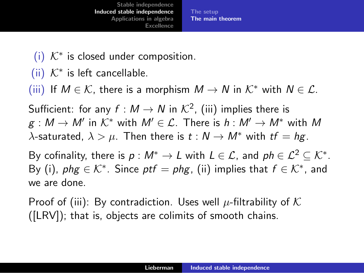The [setup](#page-16-0) The main [theorem](#page-20-0)

- (i)  $K^*$  is closed under composition.
- $(iii)$   $K^*$  is left cancellable.

(iii) If  $M \in \mathcal{K}$ , there is a morphism  $M \to N$  in  $\mathcal{K}^*$  with  $N \in \mathcal{L}$ .

Sufficient: for any  $f : M \to N$  in  $\mathcal{K}^2$ , (iii) implies there is  $g: M \to M'$  in  $K^*$  with  $M' \in \mathcal{L}$ . There is  $h: M' \to M^*$  with M  $\lambda$ -saturated,  $\lambda > \mu$ . Then there is *t* :  $N \rightarrow M^*$  with *tf* = *hg*.

By cofinality, there is  $p : M^* \to L$  with  $L \in \mathcal{L}$ , and  $ph \in \mathcal{L}^2 \subset \mathcal{K}^*$ . By (i),  $phg \in \mathcal{K}^*$ . Since  $ptf = phg$ , (ii) implies that  $f \in \mathcal{K}^*$ , and we are done.

Proof of (iii): By contradiction. Uses well *µ*-filtrability of *K* ([LRV]); that is, objects are colimits of smooth chains.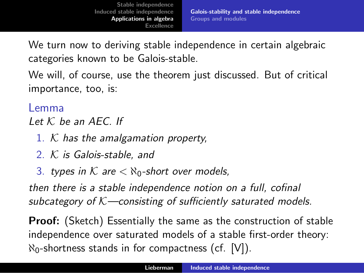<span id="page-25-0"></span>We turn now to deriving stable independence in certain algebraic categories known to be Galois-stable.

We will, of course, use the theorem just discussed. But of critical importance, too, is:

#### Lemma

*Let K be an AEC. If*

- 1. *K has the amalgamation property,*
- 2. *K is Galois-stable, and*
- 3. *types* in  $K$  are  $\lt$   $\aleph_0$ -short over models,

*then there is a stable independence notion on a full, cofinal subcategory of K—consisting of su*ffi*ciently saturated models.*

**Proof:** (Sketch) Essentially the same as the construction of stable independence over saturated models of a stable first-order theory:  $\aleph_0$ -shortness stands in for compactness (cf. [V]).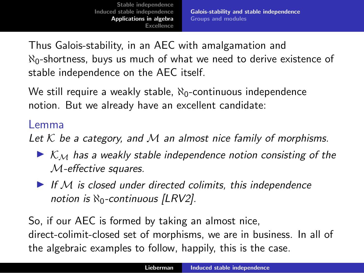Thus Galois-stability, in an AEC with amalgamation and  $\aleph_0$ -shortness, buys us much of what we need to derive existence of stable independence on the AEC itself.

We still require a weakly stable,  $\aleph_0$ -continuous independence notion. But we already have an excellent candidate:

#### Lemma

*Let K be a category, and M an almost nice family of morphisms.*

- ◮ *K<sup>M</sup> has a weakly stable independence notion consisting of the M-e*ff*ective squares.*
- ◮ *If M is closed under directed colimits, this independence notion is* ℵ0*-continuous [LRV2].*

So, if our AEC is formed by taking an almost nice, direct-colimit-closed set of morphisms, we are in business. In all of the algebraic examples to follow, happily, this is the case.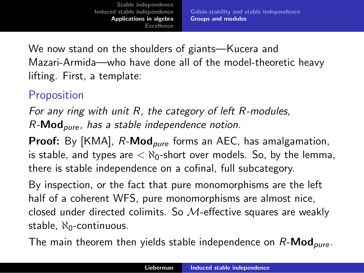<span id="page-27-0"></span>We now stand on the shoulders of giants—Kucera and Mazari-Armida—who have done all of the model-theoretic heavy lifting. First, a template:

# **Proposition**

*For any ring with unit R, the category of left R-modules, R-*Mod*pure , has a stable independence notion.*

Proof: By [KMA], *R*-Mod*pure* forms an AEC, has amalgamation, is stable, and types are  $\langle \aleph_0$ -short over models. So, by the lemma, there is stable independence on a cofinal, full subcategory.

By inspection, or the fact that pure monomorphisms are the left half of a coherent WFS, pure monomorphisms are almost nice, closed under directed colimits. So *M*-effective squares are weakly stable,  $\aleph_0$ -continuous.

The main theorem then yields stable independence on *R*-Mod*pure* .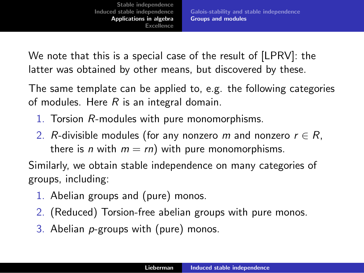We note that this is a special case of the result of [LPRV]: the latter was obtained by other means, but discovered by these.

The same template can be applied to, e.g. the following categories of modules. Here *R* is an integral domain.

- 1. Torsion *R*-modules with pure monomorphisms.
- 2. *R*-divisible modules (for any nonzero *m* and nonzero  $r \in R$ , there is *n* with  $m = rn$ ) with pure monomorphisms.

Similarly, we obtain stable independence on many categories of groups, including:

- 1. Abelian groups and (pure) monos.
- 2. (Reduced) Torsion-free abelian groups with pure monos.
- 3. Abelian *p*-groups with (pure) monos.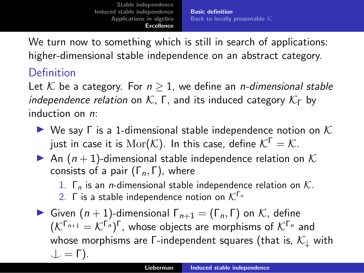Basic [definition](#page-29-0) Back to locally [presentable](#page-31-0) *K*

<span id="page-29-0"></span>We turn now to something which is still in search of applications: higher-dimensional stable independence on an abstract category.

# Definition

Let  $K$  be a category. For  $n \geq 1$ , we define an *n-dimensional stable independence relation* on  $K$ ,  $\Gamma$ , and its induced category  $K_{\Gamma}$  by induction on *n*:

- ◮ We say Γ is a 1-dimensional stable independence notion on *K* just in case it is  $\text{Mor}(\mathcal{K})$ . In this case, define  $\mathcal{K}^{\Gamma} = \mathcal{K}$ .
- An  $(n + 1)$ -dimensional stable independence relation on K consists of a pair (Γ*n,* Γ), where

1. Γ*<sup>n</sup>* is an *n*-dimensional stable independence relation on *K*.

- 2. <sup>Γ</sup> is <sup>a</sup> stable independence notion on *<sup>K</sup>*Γ*<sup>n</sup>*
- ► Given  $(n + 1)$ -dimensional  $Γ_{n+1} = (Γ_n, Γ)$  on  $K$ , define  $(K^{\lceil n+1 \rceil} = K^{\lceil n \rceil})^{\lceil n \rceil}$ , whose objects are morphisms of  $K^{\lceil n \rceil}$  and whose morphisms are Γ-independent squares (that is, *K*<sup>↓</sup> with  $\perp$  =  $\Gamma$ ).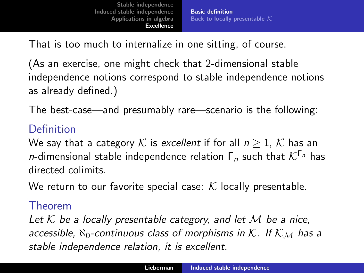Basic [definition](#page-29-0) Back to locally [presentable](#page-31-0) *K*

That is too much to internalize in one sitting, of course.

(As an exercise, one might check that 2-dimensional stable independence notions correspond to stable independence notions as already defined.)

The best-case—and presumably rare—scenario is the following:

# Definition

We say that a category  $K$  is *excellent* if for all  $n \geq 1$ ,  $K$  has an *<sup>n</sup>*-dimensional stable independence relation <sup>Γ</sup>*<sup>n</sup>* such that *<sup>K</sup>*Γ*<sup>n</sup>* has directed colimits.

We return to our favorite special case: *K* locally presentable.

### Theorem

*Let K be a locally presentable category, and let M be a nice, accessible,* ℵ0*-continuous class of morphisms in K. If K<sup>M</sup> has a stable independence relation, it is excellent.*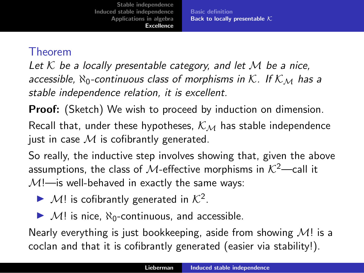Basic [definition](#page-29-0) Back to locally [presentable](#page-31-0) *K*

#### <span id="page-31-0"></span>Theorem

*Let K be a locally presentable category, and let M be a nice, accessible,* ℵ0*-continuous class of morphisms in K. If K<sup>M</sup> has a stable independence relation, it is excellent.*

**Proof:** (Sketch) We wish to proceed by induction on dimension.

Recall that, under these hypotheses, *K<sup>M</sup>* has stable independence just in case *M* is cofibrantly generated.

So really, the inductive step involves showing that, given the above assumptions, the class of *M*-effective morphisms in  $K^2$ —call it  $M$ !—is well-behaved in exactly the same ways:

- $\blacktriangleright$  *M*! is cofibrantly generated in  $K^2$ .
- $\blacktriangleright$  *M*! is nice,  $\aleph_0$ -continuous, and accessible.

Nearly everything is just bookkeeping, aside from showing *M*! is a coclan and that it is cofibrantly generated (easier via stability!).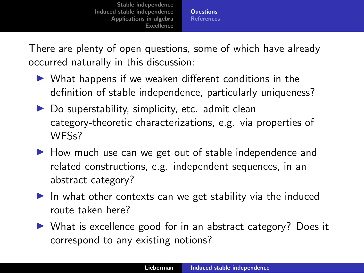**[Questions](#page-32-0)** [References](#page-33-0)

<span id="page-32-0"></span>There are plenty of open questions, some of which have already occurred naturally in this discussion:

- $\triangleright$  What happens if we weaken different conditions in the definition of stable independence, particularly uniqueness?
- $\triangleright$  Do superstability, simplicity, etc. admit clean category-theoretic characterizations, e.g. via properties of WFSs?
- ▶ How much use can we get out of stable independence and related constructions, e.g. independent sequences, in an abstract category?
- $\blacktriangleright$  In what other contexts can we get stability via the induced route taken here?
- ▶ What is excellence good for in an abstract category? Does it correspond to any existing notions?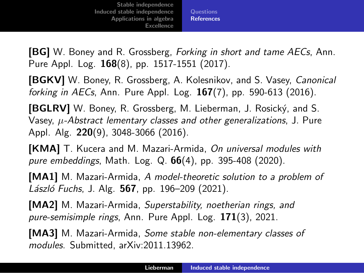**[Questions](#page-32-0)** [References](#page-33-0)

<span id="page-33-0"></span>[BG] W. Boney and R. Grossberg, *Forking in short and tame AECs*, Ann. Pure Appl. Log. 168(8), pp. 1517-1551 (2017).

[BGKV] W. Boney, R. Grossberg, A. Kolesnikov, and S. Vasey, *Canonical forking in AECs*, Ann. Pure Appl. Log. 167(7), pp. 590-613 (2016).

**[BGLRV]** W. Boney, R. Grossberg, M. Lieberman, J. Rosický, and S. Vasey, *µ-Abstract lementary classes and other generalizations*, J. Pure Appl. Alg. 220(9), 3048-3066 (2016).

[KMA] T. Kucera and M. Mazari-Armida, *On universal modules with pure embeddings*, Math. Log. Q. 66(4), pp. 395-408 (2020).

[MA1] M. Mazari-Armida, *A model-theoretic solution to a problem of L´aszl´o Fuchs*, J. Alg. 567, pp. 196–209 (2021).

[MA2] M. Mazari-Armida, *Superstability, noetherian rings, and pure-semisimple rings*, Ann. Pure Appl. Log. 171(3), 2021.

[MA3] M. Mazari-Armida, *Some stable non-elementary classes of modules*. Submitted, arXiv:2011.13962.